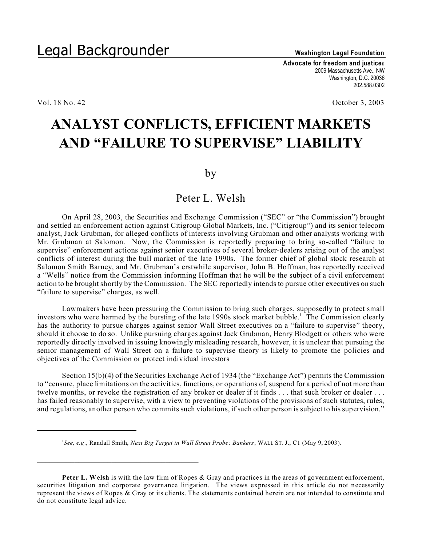**Advocate for freedom and justice®** 2009 Massachusetts Ave., NW Washington, D.C. 20036 202.588.0302

Vol. 18 No. 42 **October 3, 2003** 

## **ANALYST CONFLICTS, EFFICIENT MARKETS AND "FAILURE TO SUPERVISE" LIABILITY**

by

## Peter L. Welsh

On April 28, 2003, the Securities and Exchange Commission ("SEC" or "the Commission") brought and settled an enforcement action against Citigroup Global Markets, Inc. ("Citigroup") and its senior telecom analyst, Jack Grubman, for alleged conflicts of interests involving Grubman and other analysts working with Mr. Grubman at Salomon. Now, the Commission is reportedly preparing to bring so-called "failure to supervise" enforcement actions against senior executives of several broker-dealers arising out of the analyst conflicts of interest during the bull market of the late 1990s. The former chief of global stock research at Salomon Smith Barney, and Mr. Grubman's erstwhile supervisor, John B. Hoffman, has reportedly received a "Wells" notice from the Commission informing Hoffman that he will be the subject of a civil enforcement action to be brought shortly by the Commission. The SEC reportedly intends to pursue other executives on such "failure to supervise" charges, as well.

Lawmakers have been pressuring the Commission to bring such charges, supposedly to protect small investors who were harmed by the bursting of the late 1990s stock market bubble.<sup>1</sup> The Commission clearly has the authority to pursue charges against senior Wall Street executives on a "failure to supervise" theory, should it choose to do so. Unlike pursuing charges against Jack Grubman, Henry Blodgett or others who were reportedly directly involved in issuing knowingly misleading research, however, it is unclear that pursuing the senior management of Wall Street on a failure to supervise theory is likely to promote the policies and objectives of the Commission or protect individual investors

Section 15(b)(4) of the Securities Exchange Act of 1934 (the "Exchange Act") permits the Commission to "censure, place limitations on the activities, functions, or operations of, suspend for a period of not more than twelve months, or revoke the registration of any broker or dealer if it finds . . . that such broker or dealer . . . has failed reasonably to supervise, with a view to preventing violations of the provisions of such statutes, rules, and regulations, another person who commits such violations, if such other person is subject to his supervision."

\_\_\_\_\_\_\_\_\_\_\_\_\_\_\_\_\_\_\_\_\_\_\_\_\_\_\_\_\_\_\_\_\_\_\_\_\_\_\_

<sup>1</sup> *See, e.g.,* Randall Smith, *Next Big Target in Wall Street Probe: Bankers*, WALL ST. J., C1 (May 9, 2003).

**Peter L. Welsh** is with the law firm of Ropes & Gray and practices in the areas of government enforcement, securities litigation and corporate governance litigation. The views expressed in this article do not necessarily represent the views of Ropes & Gray or its clients. The statements contained herein are not intended to constitute and do not constitute legal advice.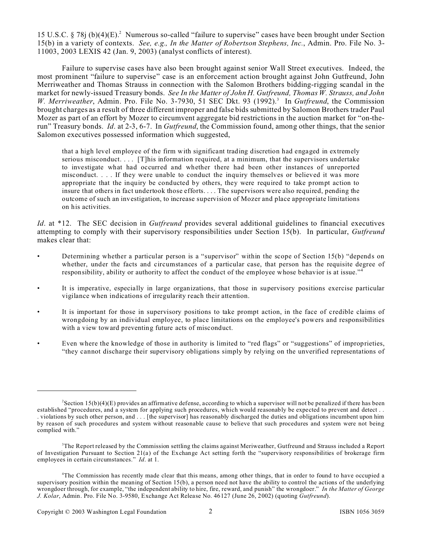15 U.S.C. § 78j (b)(4)(E).<sup>2</sup> Numerous so-called "failure to supervise" cases have been brought under Section 15(b) in a variety of contexts. *See, e.g., In the Matter of Robertson Stephens, Inc.*, Admin. Pro. File No. 3- 11003, 2003 LEXIS 42 (Jan. 9, 2003) (analyst conflicts of interest).

Failure to supervise cases have also been brought against senior Wall Street executives. Indeed, the most prominent "failure to supervise" case is an enforcement action brought against John Gutfreund, John Merriweather and Thomas Strauss in connection with the Salomon Brothers bidding-rigging scandal in the market for newly-issued Treasury bonds. *See In the Matter of John H. Gutfreund, Thomas W. Strauss, and John* W. Merriweather, Admin. Pro. File No. 3-7930, 51 SEC Dkt. 93 (1992).<sup>3</sup> In *Gutfreund*, the Commission brought charges as a result of three different improper and false bids submitted by Salomon Brothers trader Paul Mozer as part of an effort by Mozer to circumvent aggregate bid restrictions in the auction market for "on-therun" Treasury bonds. *Id*. at 2-3, 6-7. In *Gutfreund*, the Commission found, among other things, that the senior Salomon executives possessed information which suggested,

that a high level employee of the firm with significant trading discretion had engaged in extremely serious misconduct. . . . [T]his information required, at a minimum, that the supervisors undertake to investigate what had occurred and whether there had been other instances of unreported misconduct. . . . If they were unable to conduct the inquiry themselves or believed it was more appropriate that the inquiry be conducted by others, they were required to take prompt action to insure that others in fact undertook those efforts. . . . The supervisors were also required, pending the outcome of such an investigation, to increase supervision of Mozer and place appropriate limitations on his activities.

*Id*. at \*12. The SEC decision in *Gutfreund* provides several additional guidelines to financial executives attempting to comply with their supervisory responsibilities under Section 15(b). In particular, *Gutfreund* makes clear that:

- Determining whether a particular person is a "supervisor" within the scope of Section 15(b) "depends on whether, under the facts and circumstances of a particular case, that person has the requisite degree of responsibility, ability or authority to affect the conduct of the employee whose behavior is at issue."<sup>4</sup>
- It is imperative, especially in large organizations, that those in supervisory positions exercise particular vigilance when indications of irregularity reach their attention.
- It is important for those in supervisory positions to take prompt action, in the face of credible claims of wrongdoing by an individual employee, to place limitations on the employee's powers and responsibilities with a view toward preventing future acts of misconduct.
- Even where the knowledge of those in authority is limited to "red flags" or "suggestions" of improprieties, "they cannot discharge their supervisory obligations simply by relying on the unverified representations of

<sup>2</sup> Section 15(b)(4)(E) provides an affirmative defense, according to which a supervisor will not be penalized if there has been established "procedures, and a system for applying such procedures, which would reasonably be expected to prevent and detect . . . violations by such other person, and . . . [the supervisor] has reasonably discharged the duties and obligations incumbent upon him by reason of such procedures and system without reasonable cause to believe that such procedures and system were not being complied with."

<sup>&</sup>lt;sup>3</sup>The Report released by the Commission settling the claims against Meriweather, Gutfreund and Strauss included a Report of Investigation Pursuant to Section 21(a) of the Exchange Act setting forth the "supervisory responsibilities of brokerage firm employees in certain circumstances." *Id*. at 1.

<sup>4</sup>The Commission has recently made clear that this means, among other things, that in order to found to have occupied a supervisory position within the meaning of Section 15(b), a person need not have the ability to control the actions of the underlying wrongdoer through, for example, "the independent ability to hire, fire, reward, and punish" the wrongdoer." *In the Matter of George J. Kolar*, Admin. Pro. File No. 3-9580, Exchange Act Release No. 46127 (June 26, 2002) (quoting *Gutfreund*).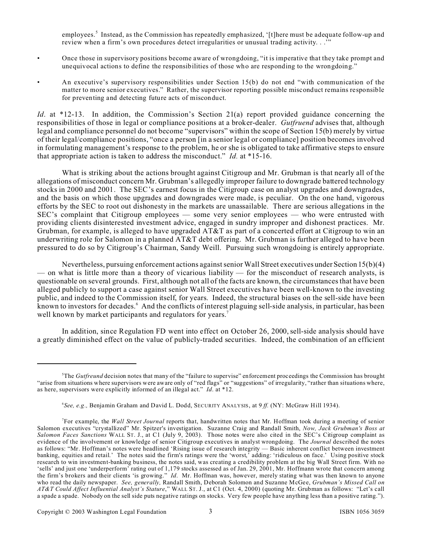employees.<sup>5</sup> Instead, as the Commission has repeatedly emphasized, '[t]here must be adequate follow-up and review when a firm's own procedures detect irregularities or unusual trading activity. . .'"

- Once those in supervisory positions become aware of wrongdoing, "it is imperative that they take prompt and unequivocal actions to define the responsibilities of those who are responding to the wrongdoing."
- An executive's supervisory responsibilities under Section 15(b) do not end "with communication of the matter to more senior executives." Rather, the supervisor reporting possible misconduct remains responsible for preventing and detecting future acts of misconduct.

*Id.* at \*12-13. In addition, the Commission's Section 21(a) report provided guidance concerning the responsibilities of those in legal or compliance positions at a broker-dealer. *Gutfruend* advises that, although legal and compliance personnel do not become "supervisors" within the scope of Section 15(b) merely by virtue of their legal/compliance positions, "once a person [in a senior legal or compliance] position becomes involved in formulating management's response to the problem, he or she is obligated to take affirmative steps to ensure that appropriate action is taken to address the misconduct." *Id.* at \*15-16.

What is striking about the actions brought against Citigroup and Mr. Grubman is that nearly all of the allegations of misconduct concern Mr. Grubman's allegedly improper failure to downgrade battered technology stocks in 2000 and 2001. The SEC's earnest focus in the Citigroup case on analyst upgrades and downgrades, and the basis on which those upgrades and downgrades were made, is peculiar. On the one hand, vigorous efforts by the SEC to root out dishonesty in the markets are unassailable. There are serious allegations in the SEC's complaint that Citigroup employees — some very senior employees — who were entrusted with providing clients disinterested investment advice, engaged in sundry improper and dishonest practices. Mr. Grubman, for example, is alleged to have upgraded AT&T as part of a concerted effort at Citigroup to win an underwriting role for Salomon in a planned AT&T debt offering. Mr. Grubman is further alleged to have been pressured to do so by Citigroup's Chairman, Sandy Weill. Pursuing such wrongdoing is entirely appropriate.

Nevertheless, pursuing enforcement actions against senior Wall Street executives under Section 15(b)(4) — on what is little more than a theory of vicarious liability — for the misconduct of research analysts, is questionable on several grounds. First, although not all of the facts are known, the circumstances that have been alleged publicly to support a case against senior Wall Street executives have been well-known to the investing public, and indeed to the Commission itself, for years. Indeed, the structural biases on the sell-side have been known to investors for decades. <sup>6</sup> And the conflicts of interest plaguing sell-side analysis, in particular, has been well known by market participants and regulators for years.<sup>7</sup>

In addition, since Regulation FD went into effect on October 26, 2000, sell-side analysis should have a greatly diminished effect on the value of publicly-traded securities. Indeed, the combination of an efficient

<sup>5</sup>The *Gutfreund* decision notes that many of the "failure to supervise" enforcement proceedings the Commission has brought "arise from situations where supervisors were aware only of "red flags" or "suggestions" of irregularity, "rather than situations where, as here, supervisors were explicitly informed of an illegal act." *Id*. at \*12.

<sup>6</sup> *See, e.g.,* Benjamin Graham and David L. Dodd, SECURITY ANALYSIS, at 9 *ff.* (NY: McGraw Hill 1934).

<sup>7</sup> For example, the *Wall Street Journal* reports that, handwritten notes that Mr. Hoffman took during a meeting of senior Salomon executives "crystallized" Mr. Spitzer's investigation. Suzanne Craig and Randall Smith, *Now, Jack Grubman's Boss at Salomon Faces Sanctions* WALL ST. J., at C1 (July 9, 2003). Those notes were also cited in the SEC's Citigroup complaint as evidence of the involvement or knowledge of senior Citigroup executives in analyst wrongdoing. The *Journal* described the notes as follows: "Mr. Hoffman's notes were headlined 'Rising issue of research integrity — Basic inherent conflict between investment banking, equities and retail.' The notes said the firm's ratings were the 'worst,' adding: 'ridiculous on face.' Using positive stock research to win investment-banking business, the notes said, was creating a credibility problem at the big Wall Street firm. With no 'sells' and just one 'underperform' rating out of 1,179 stocks assessed as of Jan. 29, 2001, Mr. Hoffmann wrote that concern among the firm's brokers and their clients 'is growing." *Id*. Mr. Hoffman was, however, merely stating what was then known to anyone who read the daily newspaper. *See, generally,* Randall Smith, Deborah Solomon and Suzanne McGee, *Grubman's Missed Call on AT&T Could Affect Influential Analyst's Stature*," WALL ST. J., at C1 (Oct. 4, 2000) (quoting Mr. Grubman as follows: "Let's call a spade a spade. Nobody on the sell side puts negative ratings on stocks. Very few people have anything less than a positive rating.").